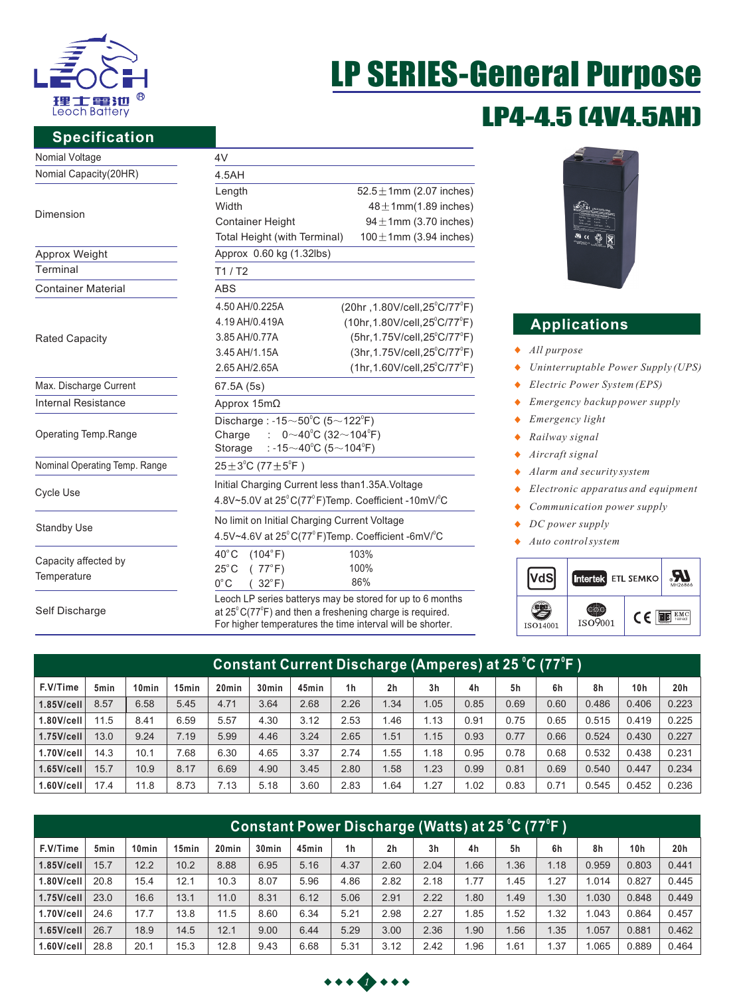

**Specification**

# LP4-4.5 (4V4.5AH) LP SERIES-General Purpose

| Nomial Voltage        | 4V           |
|-----------------------|--------------|
| Nomial Capacity(20HR) | 4.5AH        |
|                       | Length       |
|                       | Width        |
| Dimension             | Contai       |
|                       | $T0$ tol $H$ |

| Approx Weight             |
|---------------------------|
| Terminal                  |
| <b>Container Material</b> |

Rated Capacity

Max. Discharge Current Internal Resistance

Operating Temp.Range

Nominal Operating Temp. Range

Cycle Use

Standby Use

Capacity affected by **Temperature** 

Self Discharge

| 4.5AH                                                                            |                                               |  |  |  |  |  |  |  |
|----------------------------------------------------------------------------------|-----------------------------------------------|--|--|--|--|--|--|--|
| Length                                                                           | $52.5 \pm 1$ mm (2.07 inches)                 |  |  |  |  |  |  |  |
| Width                                                                            | $48 \pm 1$ mm $(1.89$ inches)                 |  |  |  |  |  |  |  |
| <b>Container Height</b>                                                          | $94 \pm 1$ mm (3.70 inches)                   |  |  |  |  |  |  |  |
| Total Height (with Terminal)                                                     | $100 \pm 1$ mm (3.94 inches)                  |  |  |  |  |  |  |  |
| Approx 0.60 kg (1.32lbs)                                                         |                                               |  |  |  |  |  |  |  |
| T1/ T2                                                                           |                                               |  |  |  |  |  |  |  |
| ABS                                                                              |                                               |  |  |  |  |  |  |  |
| 4.50 AH/0.225A                                                                   | (20hr, 1.80V/cell, 25°C/77°F)                 |  |  |  |  |  |  |  |
| 4.19 AH/0.419A                                                                   | $(10hr, 1.80V/cell, 25^{\circ}C/77^{\circ}F)$ |  |  |  |  |  |  |  |
| 3.85 AH/0.77A                                                                    | $(5hr, 1.75V/cell, 25^{\circ}C/77^{\circ}F)$  |  |  |  |  |  |  |  |
| 3.45 AH/1.15A                                                                    | (3hr, 1.75V/cell, 25°C/77°F)                  |  |  |  |  |  |  |  |
| 2.65 AH/2.65A                                                                    | (1hr, 1.60V/cell, 25°C/77°F)                  |  |  |  |  |  |  |  |
| 67.5A (5s)                                                                       |                                               |  |  |  |  |  |  |  |
| Approx 15mΩ                                                                      |                                               |  |  |  |  |  |  |  |
| Discharge: -15 $\sim$ 50 $^{\circ}$ C (5 $\sim$ 122 $^{\circ}$ F)                |                                               |  |  |  |  |  |  |  |
| : $0 \sim 40^{\circ}$ C (32 $\sim$ 104 $^{\circ}$ F)<br>Charge                   |                                               |  |  |  |  |  |  |  |
| : -15 $\sim$ 40°C (5 $\sim$ 104°F)<br>Storage                                    |                                               |  |  |  |  |  |  |  |
| $25 \pm 3^{\circ}$ C (77 $\pm 5^{\circ}$ F)                                      |                                               |  |  |  |  |  |  |  |
| Initial Charging Current less than1.35A. Voltage                                 |                                               |  |  |  |  |  |  |  |
| 4.8V~5.0V at 25°C(77°F)Temp. Coefficient -10mV/°C                                |                                               |  |  |  |  |  |  |  |
| No limit on Initial Charging Current Voltage                                     |                                               |  |  |  |  |  |  |  |
| 4.5V~4.6V at $25^{\circ}$ C(77 $^{\circ}$ F)Temp. Coefficient -6mV/ $^{\circ}$ C |                                               |  |  |  |  |  |  |  |
| $40^{\circ}$ C<br>(104°F)                                                        | 103%                                          |  |  |  |  |  |  |  |
| $25^{\circ}$ C<br>(77°F)                                                         | 100%                                          |  |  |  |  |  |  |  |
| $0^{\circ}$ C<br>$32^{\circ}$ F)                                                 | 86%                                           |  |  |  |  |  |  |  |

at 25 $\mathrm{^{\circ}C}$ (77 $\mathrm{^{\circ}F}$ ) and then a freshening charge is required. For higher temperatures the time interval will be shorter.

| H UNASIONSALI<br>na san dre Studel Leuis au d'Estate<br>L'Austrian via Stud Leuis au d'Estate<br>4844<br>4843<br><b>Links</b> Pan<br>$\overline{w}$ ce<br><b><i><u>CONTRACTORS</u></i></b> | ×<br><b>State</b> |
|--------------------------------------------------------------------------------------------------------------------------------------------------------------------------------------------|-------------------|

# **Applications**

- *All purpose*
- *Uninterruptable Power Supply (UPS)*  $\blacklozenge$
- *Electric Power System (EPS)*  $\blacklozenge$
- $\ddot{\bullet}$ *Emergency backup power supply*
- *Emergency light*  $\bullet$
- $\ddot{\bullet}$ *Railway signal*
- *Aircraft signal*  $\bullet$
- $\bullet$ *Alarm and security system*
- *Electronic apparatus and equipment* ٠
- *Communication power supply*  $\bullet$
- *DC power supply*  $\bullet$
- *Auto control system*



| Constant Current Di <u>scharge (Amperes) at 25 °C (77°F )</u> |      |                   |                   |                   |                   |       |                |                |                |      |      |      |       |                 |       |
|---------------------------------------------------------------|------|-------------------|-------------------|-------------------|-------------------|-------|----------------|----------------|----------------|------|------|------|-------|-----------------|-------|
| F.V/Time                                                      | 5min | 10 <sub>min</sub> | 15 <sub>min</sub> | 20 <sub>min</sub> | 30 <sub>min</sub> | 45min | 1 <sub>h</sub> | 2 <sub>h</sub> | 3 <sub>h</sub> | 4h   | 5h   | 6h   | 8h    | 10 <sub>h</sub> | 20h   |
| $1.85$ V/cell                                                 | 8.57 | 6.58              | 5.45              | 4.71              | 3.64              | 2.68  | 2.26           | 1.34           | 1.05           | 0.85 | 0.69 | 0.60 | 0.486 | 0.406           | 0.223 |
| $1.80$ V/cell                                                 | 11.5 | 8.41              | 6.59              | 5.57              | 4.30              | 3.12  | 2.53           | 1.46           | 1.13           | 0.91 | 0.75 | 0.65 | 0.515 | 0.419           | 0.225 |
| $1.75$ V/cell                                                 | 13.0 | 9.24              | 7.19              | 5.99              | 4.46              | 3.24  | 2.65           | 1.51           | 1.15           | 0.93 | 0.77 | 0.66 | 0.524 | 0.430           | 0.227 |
| $1.70$ V/cell                                                 | 14.3 | 10.1              | 7.68              | 6.30              | 4.65              | 3.37  | 2.74           | 1.55           | 1.18           | 0.95 | 0.78 | 0.68 | 0.532 | 0.438           | 0.231 |
| $1.65$ V/cell                                                 | 15.7 | 10.9              | 8.17              | 6.69              | 4.90              | 3.45  | 2.80           | 1.58           | 1.23           | 0.99 | 0.81 | 0.69 | 0.540 | 0.447           | 0.234 |
| $1.60$ V/cell                                                 | 17.4 | 11.8              | 8.73              | 7.13              | 5.18              | 3.60  | 2.83           | .64            | 1.27           | .02  | 0.83 | 0.71 | 0.545 | 0.452           | 0.236 |

| Constant Power Discharge (Watts) at 25 °C (77°F ) |      |                   |                   |       |                   |       |                |                |      |      |      |      |       |       |       |
|---------------------------------------------------|------|-------------------|-------------------|-------|-------------------|-------|----------------|----------------|------|------|------|------|-------|-------|-------|
| F.V/Time                                          | 5min | 10 <sub>min</sub> | 15 <sub>min</sub> | 20min | 30 <sub>min</sub> | 45min | 1 <sub>h</sub> | 2 <sub>h</sub> | 3h   | 4h   | 5h   | 6h   | 8h    | 10h   | 20h   |
| $1.85$ V/cell                                     | 15.7 | 12.2              | 10.2              | 8.88  | 6.95              | 5.16  | 4.37           | 2.60           | 2.04 | .66  | .36  | 1.18 | 0.959 | 0.803 | 0.441 |
| $1.80$ V/cell                                     | 20.8 | 15.4              | 12.1              | 10.3  | 8.07              | 5.96  | 4.86           | 2.82           | 2.18 | 1.77 | 1.45 | 1.27 | 1.014 | 0.827 | 0.445 |
| $1.75$ V/cell                                     | 23.0 | 16.6              | 13.1              | 11.0  | 8.31              | 6.12  | 5.06           | 2.91           | 2.22 | .80  | 1.49 | 1.30 | 1.030 | 0.848 | 0.449 |
| 1.70V/cell                                        | 24.6 | 17.7              | 13.8              | 11.5  | 8.60              | 6.34  | 5.21           | 2.98           | 2.27 | .85  | .52  | 1.32 | 1.043 | 0.864 | 0.457 |
| $1.65$ V/cell                                     | 26.7 | 18.9              | 14.5              | 12.1  | 9.00              | 6.44  | 5.29           | 3.00           | 2.36 | .90  | .56  | 1.35 | 1.057 | 0.881 | 0.462 |
| $1.60$ V/cell                                     | 28.8 | 20.1              | 15.3              | 12.8  | 9.43              | 6.68  | 5.31           | 3.12           | 2.42 | .96  | 1.61 | 1.37 | 1.065 | 0.889 | 0.464 |